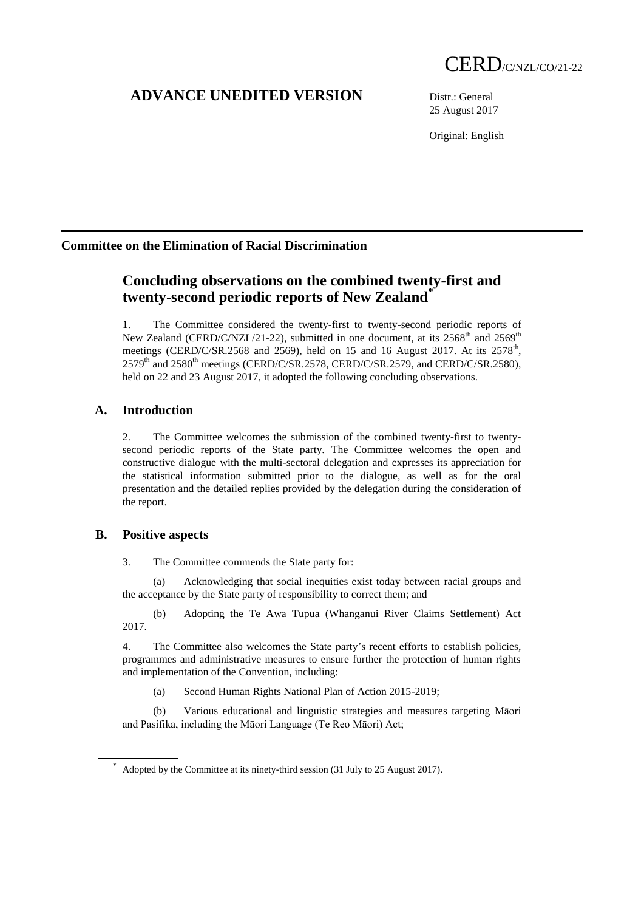# **ADVANCE UNEDITED VERSION** Distr.: General

25 August 2017

Original: English

## **Committee on the Elimination of Racial Discrimination**

# **Concluding observations on the combined twenty-first and twenty-second periodic reports of New Zealand\***

1. The Committee considered the twenty-first to twenty-second periodic reports of New Zealand (CERD/C/NZL/21-22), submitted in one document, at its  $2568<sup>th</sup>$  and  $2569<sup>th</sup>$ meetings (CERD/C/SR.2568 and 2569), held on 15 and 16 August 2017. At its 2578<sup>th</sup>,  $2579<sup>th</sup>$  and  $2580<sup>th</sup>$  meetings (CERD/C/SR.2578, CERD/C/SR.2579, and CERD/C/SR.2580), held on 22 and 23 August 2017, it adopted the following concluding observations.

## **A. Introduction**

2. The Committee welcomes the submission of the combined twenty-first to twentysecond periodic reports of the State party. The Committee welcomes the open and constructive dialogue with the multi-sectoral delegation and expresses its appreciation for the statistical information submitted prior to the dialogue, as well as for the oral presentation and the detailed replies provided by the delegation during the consideration of the report.

## **B. Positive aspects**

3. The Committee commends the State party for:

(a) Acknowledging that social inequities exist today between racial groups and the acceptance by the State party of responsibility to correct them; and

(b) Adopting the Te Awa Tupua (Whanganui River Claims Settlement) Act 2017.

4. The Committee also welcomes the State party's recent efforts to establish policies, programmes and administrative measures to ensure further the protection of human rights and implementation of the Convention, including:

(a) Second Human Rights National Plan of Action 2015-2019;

(b) Various educational and linguistic strategies and measures targeting Māori and Pasifika, including the Māori Language (Te Reo Māori) Act;

Adopted by the Committee at its ninety-third session (31 July to 25 August 2017).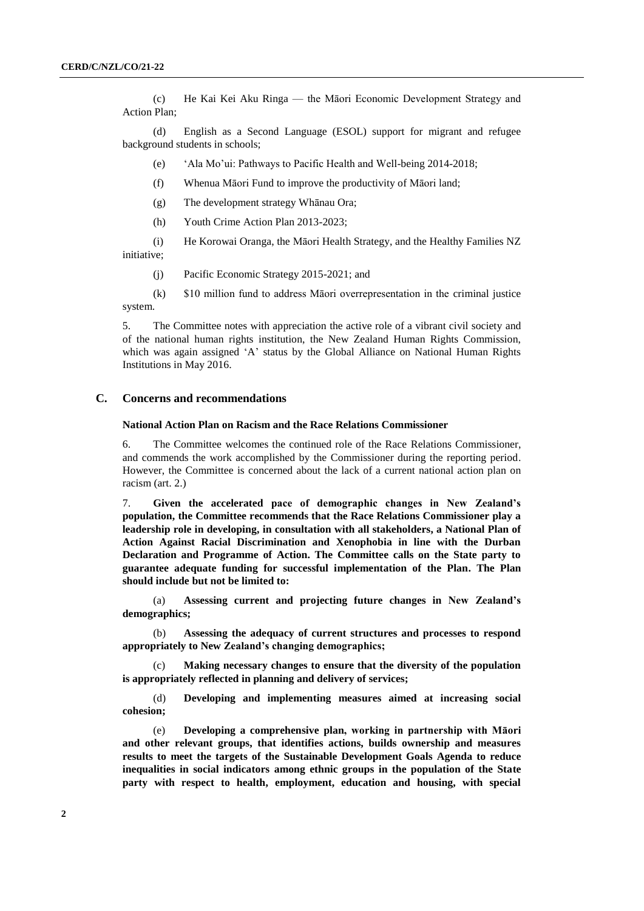(c) He Kai Kei Aku Ringa — the Māori Economic Development Strategy and Action Plan;

(d) English as a Second Language (ESOL) support for migrant and refugee background students in schools;

(e) 'Ala Mo'ui: Pathways to Pacific Health and Well-being 2014-2018;

- (f) Whenua Māori Fund to improve the productivity of Māori land;
- (g) The development strategy Whānau Ora;
- (h) Youth Crime Action Plan 2013-2023;

(i) He Korowai Oranga, the Māori Health Strategy, and the Healthy Families NZ initiative;

(j) Pacific Economic Strategy 2015-2021; and

(k) \$10 million fund to address Māori overrepresentation in the criminal justice system.

5. The Committee notes with appreciation the active role of a vibrant civil society and of the national human rights institution, the New Zealand Human Rights Commission, which was again assigned 'A' status by the Global Alliance on National Human Rights Institutions in May 2016.

## **C. Concerns and recommendations**

## **National Action Plan on Racism and the Race Relations Commissioner**

6. The Committee welcomes the continued role of the Race Relations Commissioner, and commends the work accomplished by the Commissioner during the reporting period. However, the Committee is concerned about the lack of a current national action plan on racism (art. 2.)

7. **Given the accelerated pace of demographic changes in New Zealand's population, the Committee recommends that the Race Relations Commissioner play a leadership role in developing, in consultation with all stakeholders, a National Plan of Action Against Racial Discrimination and Xenophobia in line with the Durban Declaration and Programme of Action. The Committee calls on the State party to guarantee adequate funding for successful implementation of the Plan. The Plan should include but not be limited to:**

(a) **Assessing current and projecting future changes in New Zealand's demographics;**

(b) **Assessing the adequacy of current structures and processes to respond appropriately to New Zealand's changing demographics;**

(c) **Making necessary changes to ensure that the diversity of the population is appropriately reflected in planning and delivery of services;**

(d) **Developing and implementing measures aimed at increasing social cohesion;**

(e) **Developing a comprehensive plan, working in partnership with Māori and other relevant groups, that identifies actions, builds ownership and measures results to meet the targets of the Sustainable Development Goals Agenda to reduce inequalities in social indicators among ethnic groups in the population of the State party with respect to health, employment, education and housing, with special**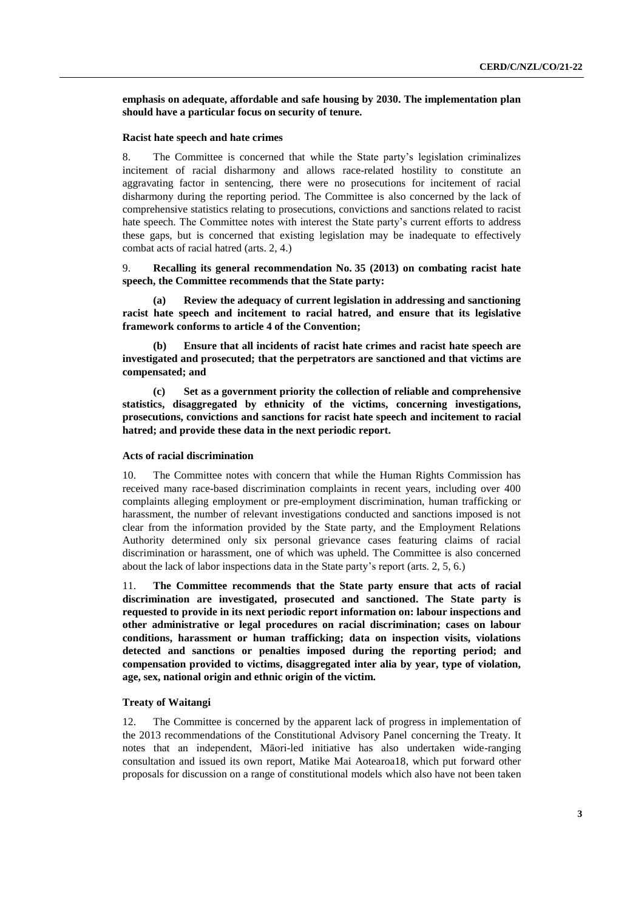**emphasis on adequate, affordable and safe housing by 2030. The implementation plan should have a particular focus on security of tenure.**

#### **Racist hate speech and hate crimes**

8. The Committee is concerned that while the State party's legislation criminalizes incitement of racial disharmony and allows race-related hostility to constitute an aggravating factor in sentencing, there were no prosecutions for incitement of racial disharmony during the reporting period. The Committee is also concerned by the lack of comprehensive statistics relating to prosecutions, convictions and sanctions related to racist hate speech. The Committee notes with interest the State party's current efforts to address these gaps, but is concerned that existing legislation may be inadequate to effectively combat acts of racial hatred (arts. 2, 4.)

9. **Recalling its general recommendation No. 35 (2013) on combating racist hate speech, the Committee recommends that the State party:**

**(a) Review the adequacy of current legislation in addressing and sanctioning racist hate speech and incitement to racial hatred, and ensure that its legislative framework conforms to article 4 of the Convention;**

**(b) Ensure that all incidents of racist hate crimes and racist hate speech are investigated and prosecuted; that the perpetrators are sanctioned and that victims are compensated; and**

**(c) Set as a government priority the collection of reliable and comprehensive statistics, disaggregated by ethnicity of the victims, concerning investigations, prosecutions, convictions and sanctions for racist hate speech and incitement to racial hatred; and provide these data in the next periodic report.**

## **Acts of racial discrimination**

10. The Committee notes with concern that while the Human Rights Commission has received many race-based discrimination complaints in recent years, including over 400 complaints alleging employment or pre-employment discrimination, human trafficking or harassment, the number of relevant investigations conducted and sanctions imposed is not clear from the information provided by the State party, and the Employment Relations Authority determined only six personal grievance cases featuring claims of racial discrimination or harassment, one of which was upheld. The Committee is also concerned about the lack of labor inspections data in the State party's report (arts. 2, 5, 6.)

11. **The Committee recommends that the State party ensure that acts of racial discrimination are investigated, prosecuted and sanctioned. The State party is requested to provide in its next periodic report information on: labour inspections and other administrative or legal procedures on racial discrimination; cases on labour conditions, harassment or human trafficking; data on inspection visits, violations detected and sanctions or penalties imposed during the reporting period; and compensation provided to victims, disaggregated inter alia by year, type of violation, age, sex, national origin and ethnic origin of the victim.** 

### **Treaty of Waitangi**

12. The Committee is concerned by the apparent lack of progress in implementation of the 2013 recommendations of the Constitutional Advisory Panel concerning the Treaty. It notes that an independent, Māori-led initiative has also undertaken wide-ranging consultation and issued its own report, Matike Mai Aotearoa18, which put forward other proposals for discussion on a range of constitutional models which also have not been taken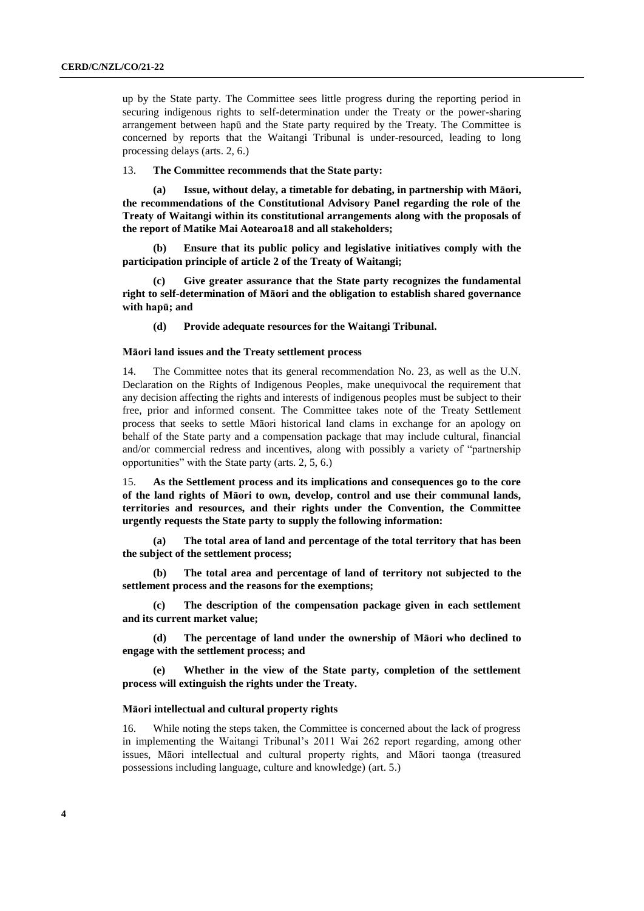up by the State party. The Committee sees little progress during the reporting period in securing indigenous rights to self-determination under the Treaty or the power-sharing arrangement between hapū and the State party required by the Treaty. The Committee is concerned by reports that the Waitangi Tribunal is under-resourced, leading to long processing delays (arts. 2, 6.)

## 13. **The Committee recommends that the State party:**

**(a) Issue, without delay, a timetable for debating, in partnership with Māori, the recommendations of the Constitutional Advisory Panel regarding the role of the Treaty of Waitangi within its constitutional arrangements along with the proposals of the report of Matike Mai Aotearoa18 and all stakeholders;** 

**(b) Ensure that its public policy and legislative initiatives comply with the participation principle of article 2 of the Treaty of Waitangi;**

**(c) Give greater assurance that the State party recognizes the fundamental right to self-determination of Māori and the obligation to establish shared governance with hapū; and**

**(d) Provide adequate resources for the Waitangi Tribunal.**

#### **Māori land issues and the Treaty settlement process**

14. The Committee notes that its general recommendation No. 23, as well as the U.N. Declaration on the Rights of Indigenous Peoples, make unequivocal the requirement that any decision affecting the rights and interests of indigenous peoples must be subject to their free, prior and informed consent. The Committee takes note of the Treaty Settlement process that seeks to settle Māori historical land clams in exchange for an apology on behalf of the State party and a compensation package that may include cultural, financial and/or commercial redress and incentives, along with possibly a variety of "partnership opportunities" with the State party (arts. 2, 5, 6.)

15. **As the Settlement process and its implications and consequences go to the core of the land rights of Māori to own, develop, control and use their communal lands, territories and resources, and their rights under the Convention, the Committee urgently requests the State party to supply the following information:** 

**(a) The total area of land and percentage of the total territory that has been the subject of the settlement process;** 

**(b) The total area and percentage of land of territory not subjected to the settlement process and the reasons for the exemptions;** 

**(c) The description of the compensation package given in each settlement and its current market value;**

**(d) The percentage of land under the ownership of Māori who declined to engage with the settlement process; and** 

**(e) Whether in the view of the State party, completion of the settlement process will extinguish the rights under the Treaty.**

#### **Māori intellectual and cultural property rights**

16. While noting the steps taken, the Committee is concerned about the lack of progress in implementing the Waitangi Tribunal's 2011 Wai 262 report regarding, among other issues, Māori intellectual and cultural property rights, and Māori taonga (treasured possessions including language, culture and knowledge) (art. 5.)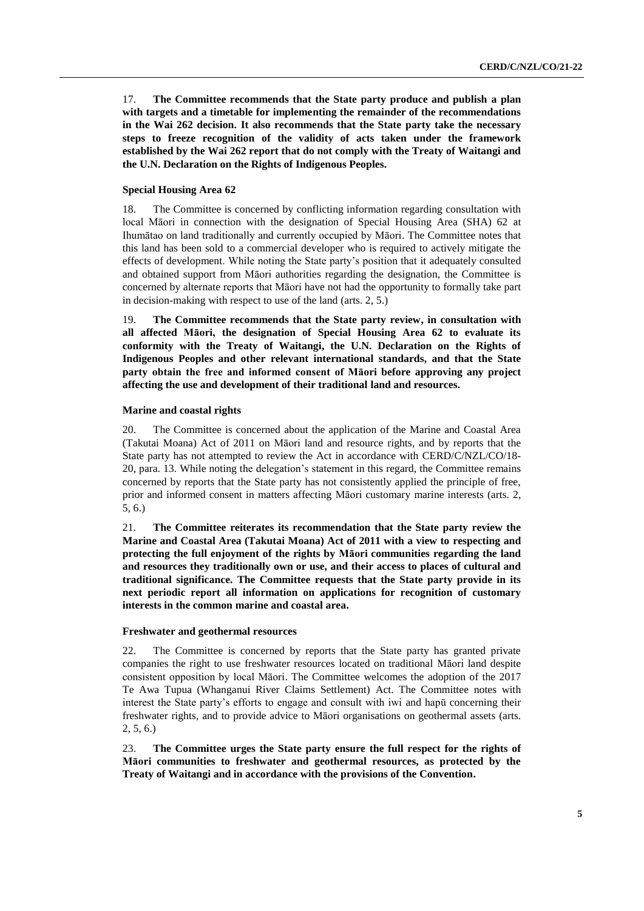17. **The Committee recommends that the State party produce and publish a plan with targets and a timetable for implementing the remainder of the recommendations in the Wai 262 decision. It also recommends that the State party take the necessary steps to freeze recognition of the validity of acts taken under the framework established by the Wai 262 report that do not comply with the Treaty of Waitangi and the U.N. Declaration on the Rights of Indigenous Peoples.**

## **Special Housing Area 62**

18. The Committee is concerned by conflicting information regarding consultation with local Māori in connection with the designation of Special Housing Area (SHA) 62 at Ihumātao on land traditionally and currently occupied by Māori. The Committee notes that this land has been sold to a commercial developer who is required to actively mitigate the effects of development. While noting the State party's position that it adequately consulted and obtained support from Māori authorities regarding the designation, the Committee is concerned by alternate reports that Māori have not had the opportunity to formally take part in decision-making with respect to use of the land (arts. 2, 5.)

19. **The Committee recommends that the State party review, in consultation with all affected Māori, the designation of Special Housing Area 62 to evaluate its conformity with the Treaty of Waitangi, the U.N. Declaration on the Rights of Indigenous Peoples and other relevant international standards, and that the State party obtain the free and informed consent of Māori before approving any project affecting the use and development of their traditional land and resources.** 

#### **Marine and coastal rights**

20. The Committee is concerned about the application of the Marine and Coastal Area (Takutai Moana) Act of 2011 on Māori land and resource rights, and by reports that the State party has not attempted to review the Act in accordance with CERD/C/NZL/CO/18- 20, para. 13. While noting the delegation's statement in this regard, the Committee remains concerned by reports that the State party has not consistently applied the principle of free, prior and informed consent in matters affecting Māori customary marine interests (arts. 2, 5, 6.)

21. **The Committee reiterates its recommendation that the State party review the Marine and Coastal Area (Takutai Moana) Act of 2011 with a view to respecting and protecting the full enjoyment of the rights by Māori communities regarding the land and resources they traditionally own or use, and their access to places of cultural and traditional significance. The Committee requests that the State party provide in its next periodic report all information on applications for recognition of customary interests in the common marine and coastal area.**

#### **Freshwater and geothermal resources**

22. The Committee is concerned by reports that the State party has granted private companies the right to use freshwater resources located on traditional Māori land despite consistent opposition by local Māori. The Committee welcomes the adoption of the 2017 Te Awa Tupua (Whanganui River Claims Settlement) Act. The Committee notes with interest the State party's efforts to engage and consult with iwi and hapū concerning their freshwater rights, and to provide advice to Māori organisations on geothermal assets (arts. 2, 5, 6.)

23. **The Committee urges the State party ensure the full respect for the rights of Māori communities to freshwater and geothermal resources, as protected by the Treaty of Waitangi and in accordance with the provisions of the Convention.**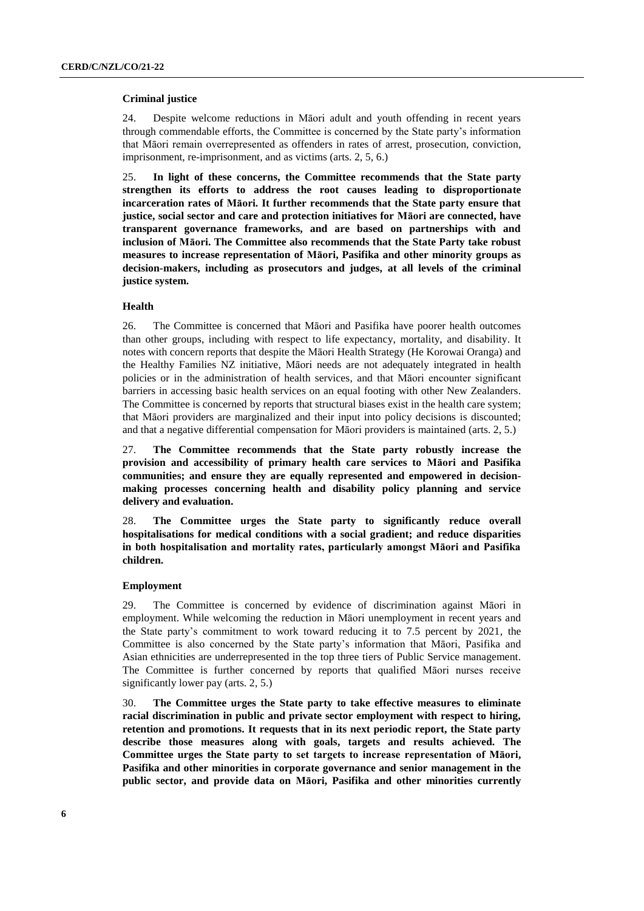#### **Criminal justice**

24. Despite welcome reductions in Māori adult and youth offending in recent years through commendable efforts, the Committee is concerned by the State party's information that Māori remain overrepresented as offenders in rates of arrest, prosecution, conviction, imprisonment, re-imprisonment, and as victims (arts. 2, 5, 6.)

25. **In light of these concerns, the Committee recommends that the State party strengthen its efforts to address the root causes leading to disproportionate incarceration rates of Māori. It further recommends that the State party ensure that justice, social sector and care and protection initiatives for Māori are connected, have transparent governance frameworks, and are based on partnerships with and inclusion of Māori. The Committee also recommends that the State Party take robust measures to increase representation of Māori, Pasifika and other minority groups as decision-makers, including as prosecutors and judges, at all levels of the criminal justice system.**

#### **Health**

26. The Committee is concerned that Māori and Pasifika have poorer health outcomes than other groups, including with respect to life expectancy, mortality, and disability. It notes with concern reports that despite the Māori Health Strategy (He Korowai Oranga) and the Healthy Families NZ initiative, Māori needs are not adequately integrated in health policies or in the administration of health services, and that Māori encounter significant barriers in accessing basic health services on an equal footing with other New Zealanders. The Committee is concerned by reports that structural biases exist in the health care system; that Māori providers are marginalized and their input into policy decisions is discounted; and that a negative differential compensation for Māori providers is maintained (arts. 2, 5.)

27. **The Committee recommends that the State party robustly increase the provision and accessibility of primary health care services to Māori and Pasifika communities; and ensure they are equally represented and empowered in decisionmaking processes concerning health and disability policy planning and service delivery and evaluation.** 

28. **The Committee urges the State party to significantly reduce overall hospitalisations for medical conditions with a social gradient; and reduce disparities in both hospitalisation and mortality rates, particularly amongst Māori and Pasifika children.**

## **Employment**

29. The Committee is concerned by evidence of discrimination against Māori in employment. While welcoming the reduction in Māori unemployment in recent years and the State party's commitment to work toward reducing it to 7.5 percent by 2021, the Committee is also concerned by the State party's information that Māori, Pasifika and Asian ethnicities are underrepresented in the top three tiers of Public Service management. The Committee is further concerned by reports that qualified Māori nurses receive significantly lower pay (arts. 2, 5.)

30. **The Committee urges the State party to take effective measures to eliminate racial discrimination in public and private sector employment with respect to hiring, retention and promotions. It requests that in its next periodic report, the State party describe those measures along with goals, targets and results achieved. The Committee urges the State party to set targets to increase representation of Māori, Pasifika and other minorities in corporate governance and senior management in the public sector, and provide data on Māori, Pasifika and other minorities currently**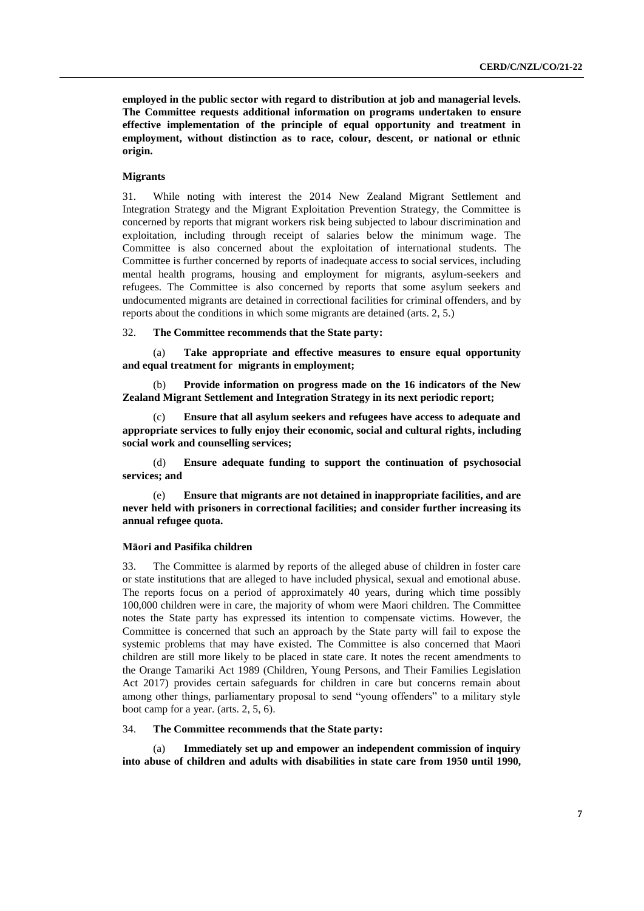**employed in the public sector with regard to distribution at job and managerial levels. The Committee requests additional information on programs undertaken to ensure effective implementation of the principle of equal opportunity and treatment in employment, without distinction as to race, colour, descent, or national or ethnic origin.**

## **Migrants**

31. While noting with interest the 2014 New Zealand Migrant Settlement and Integration Strategy and the Migrant Exploitation Prevention Strategy, the Committee is concerned by reports that migrant workers risk being subjected to labour discrimination and exploitation, including through receipt of salaries below the minimum wage. The Committee is also concerned about the exploitation of international students. The Committee is further concerned by reports of inadequate access to social services, including mental health programs, housing and employment for migrants, asylum-seekers and refugees. The Committee is also concerned by reports that some asylum seekers and undocumented migrants are detained in correctional facilities for criminal offenders, and by reports about the conditions in which some migrants are detained (arts. 2, 5.)

32. **The Committee recommends that the State party:**

(a) **Take appropriate and effective measures to ensure equal opportunity and equal treatment for migrants in employment;**

(b) **Provide information on progress made on the 16 indicators of the New Zealand Migrant Settlement and Integration Strategy in its next periodic report;**

(c) **Ensure that all asylum seekers and refugees have access to adequate and appropriate services to fully enjoy their economic, social and cultural rights, including social work and counselling services;**

(d) **Ensure adequate funding to support the continuation of psychosocial services; and**

(e) **Ensure that migrants are not detained in inappropriate facilities, and are never held with prisoners in correctional facilities; and consider further increasing its annual refugee quota.**

## **Māori and Pasifika children**

33. The Committee is alarmed by reports of the alleged abuse of children in foster care or state institutions that are alleged to have included physical, sexual and emotional abuse. The reports focus on a period of approximately 40 years, during which time possibly 100,000 children were in care, the majority of whom were Maori children. The Committee notes the State party has expressed its intention to compensate victims. However, the Committee is concerned that such an approach by the State party will fail to expose the systemic problems that may have existed. The Committee is also concerned that Maori children are still more likely to be placed in state care. It notes the recent amendments to the Orange Tamariki Act 1989 (Children, Young Persons, and Their Families Legislation Act 2017) provides certain safeguards for children in care but concerns remain about among other things, parliamentary proposal to send "young offenders" to a military style boot camp for a year. (arts. 2, 5, 6).

## 34. **The Committee recommends that the State party:**

(a) **Immediately set up and empower an independent commission of inquiry into abuse of children and adults with disabilities in state care from 1950 until 1990,**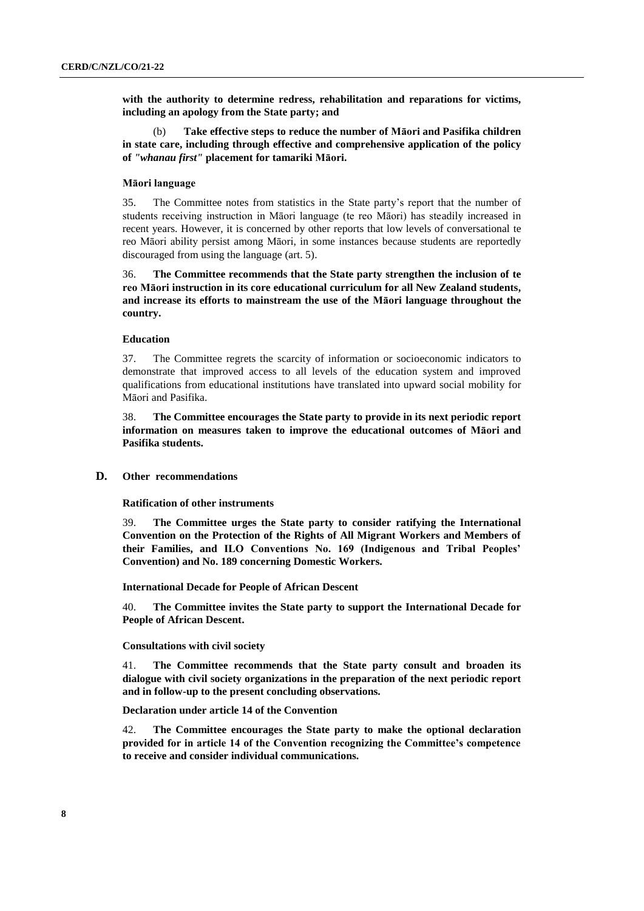**with the authority to determine redress, rehabilitation and reparations for victims, including an apology from the State party; and**

(b) **Take effective steps to reduce the number of Māori and Pasifika children in state care, including through effective and comprehensive application of the policy of** *"whanau first"* **placement for tamariki Māori.**

## **Māori language**

35. The Committee notes from statistics in the State party's report that the number of students receiving instruction in Māori language (te reo Māori) has steadily increased in recent years. However, it is concerned by other reports that low levels of conversational te reo Māori ability persist among Māori, in some instances because students are reportedly discouraged from using the language (art. 5).

36. **The Committee recommends that the State party strengthen the inclusion of te reo Māori instruction in its core educational curriculum for all New Zealand students, and increase its efforts to mainstream the use of the Māori language throughout the country.** 

## **Education**

37. The Committee regrets the scarcity of information or socioeconomic indicators to demonstrate that improved access to all levels of the education system and improved qualifications from educational institutions have translated into upward social mobility for Māori and Pasifika.

38. **The Committee encourages the State party to provide in its next periodic report information on measures taken to improve the educational outcomes of Māori and Pasifika students.** 

#### **D. Other recommendations**

**Ratification of other instruments**

39. **The Committee urges the State party to consider ratifying the International Convention on the Protection of the Rights of All Migrant Workers and Members of their Families, and ILO Conventions No. 169 (Indigenous and Tribal Peoples' Convention) and No. 189 concerning Domestic Workers.**

**International Decade for People of African Descent** 

40. **The Committee invites the State party to support the International Decade for People of African Descent.**

#### **Consultations with civil society**

41. **The Committee recommends that the State party consult and broaden its dialogue with civil society organizations in the preparation of the next periodic report and in follow-up to the present concluding observations.**

**Declaration under article 14 of the Convention**

42. **The Committee encourages the State party to make the optional declaration provided for in article 14 of the Convention recognizing the Committee's competence to receive and consider individual communications.**